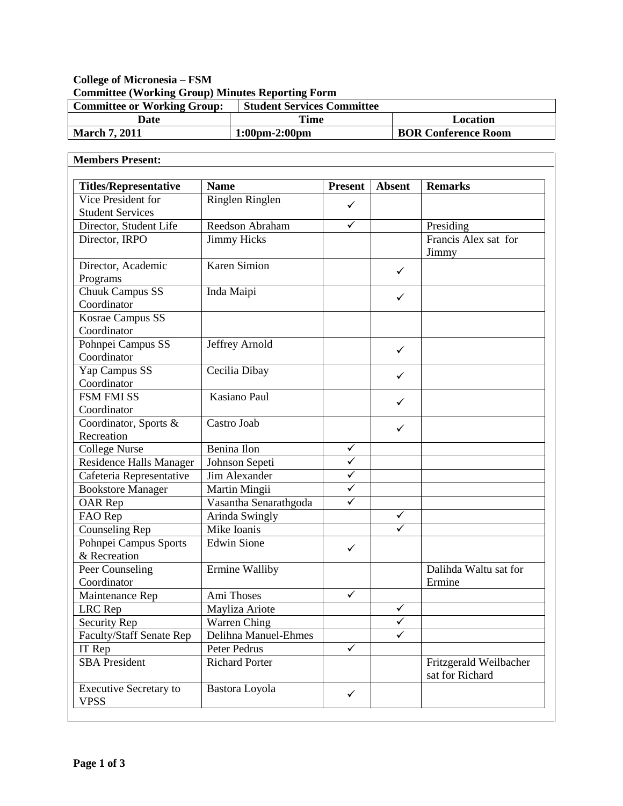## **College of Micronesia – FSM Committee (Working Group) Minutes Reporting Form**

| <b>Committee or Working Group:</b> | <b>Student Services Committee</b> |                            |
|------------------------------------|-----------------------------------|----------------------------|
| Date                               | Time                              | Location                   |
| <b>March 7, 2011</b>               | $1:00 \text{pm} - 2:00 \text{pm}$ | <b>BOR Conference Room</b> |

| <b>Members Present:</b>                      |                       |                |               |                                           |
|----------------------------------------------|-----------------------|----------------|---------------|-------------------------------------------|
| <b>Titles/Representative</b>                 | <b>Name</b>           | <b>Present</b> | <b>Absent</b> | <b>Remarks</b>                            |
| Vice President for                           | Ringlen Ringlen       |                |               |                                           |
| <b>Student Services</b>                      |                       | ✓              |               |                                           |
| Director, Student Life                       | Reedson Abraham       | $\checkmark$   |               | Presiding                                 |
| Director, IRPO                               | <b>Jimmy Hicks</b>    |                |               | Francis Alex sat for<br>Jimmy             |
| Director, Academic<br>Programs               | Karen Simion          |                | $\checkmark$  |                                           |
| Chuuk Campus SS<br>Coordinator               | Inda Maipi            |                | $\checkmark$  |                                           |
| Kosrae Campus SS<br>Coordinator              |                       |                |               |                                           |
| Pohnpei Campus SS<br>Coordinator             | Jeffrey Arnold        |                | $\checkmark$  |                                           |
| Yap Campus SS<br>Coordinator                 | Cecilia Dibay         |                | $\checkmark$  |                                           |
| <b>FSM FMI SS</b><br>Coordinator             | Kasiano Paul          |                | ✓             |                                           |
| Coordinator, Sports &<br>Recreation          | Castro Joab           |                | $\checkmark$  |                                           |
| <b>College Nurse</b>                         | Benina Ilon           | $\checkmark$   |               |                                           |
| Residence Halls Manager                      | Johnson Sepeti        | ✓              |               |                                           |
| Cafeteria Representative                     | Jim Alexander         | ✓              |               |                                           |
| <b>Bookstore Manager</b>                     | Martin Mingii         | $\checkmark$   |               |                                           |
| OAR Rep                                      | Vasantha Senarathgoda | ✓              |               |                                           |
| FAO Rep                                      | Arinda Swingly        |                | ✓             |                                           |
| <b>Counseling Rep</b>                        | Mike Ioanis           |                | ✓             |                                           |
| Pohnpei Campus Sports<br>& Recreation        | <b>Edwin Sione</b>    | $\checkmark$   |               |                                           |
| Peer Counseling<br>Coordinator               | Ermine Walliby        |                |               | Dalihda Waltu sat for<br>Ermine           |
| Maintenance Rep                              | Ami Thoses            | $\checkmark$   |               |                                           |
| LRC Rep                                      | Mayliza Ariote        |                | $\checkmark$  |                                           |
| Security Rep                                 | Warren Ching          |                | $\checkmark$  |                                           |
| Faculty/Staff Senate Rep                     | Delihna Manuel-Ehmes  |                | $\checkmark$  |                                           |
| IT Rep                                       | Peter Pedrus          | $\checkmark$   |               |                                           |
| <b>SBA</b> President                         | <b>Richard Porter</b> |                |               | Fritzgerald Weilbacher<br>sat for Richard |
| <b>Executive Secretary to</b><br><b>VPSS</b> | Bastora Loyola        | $\checkmark$   |               |                                           |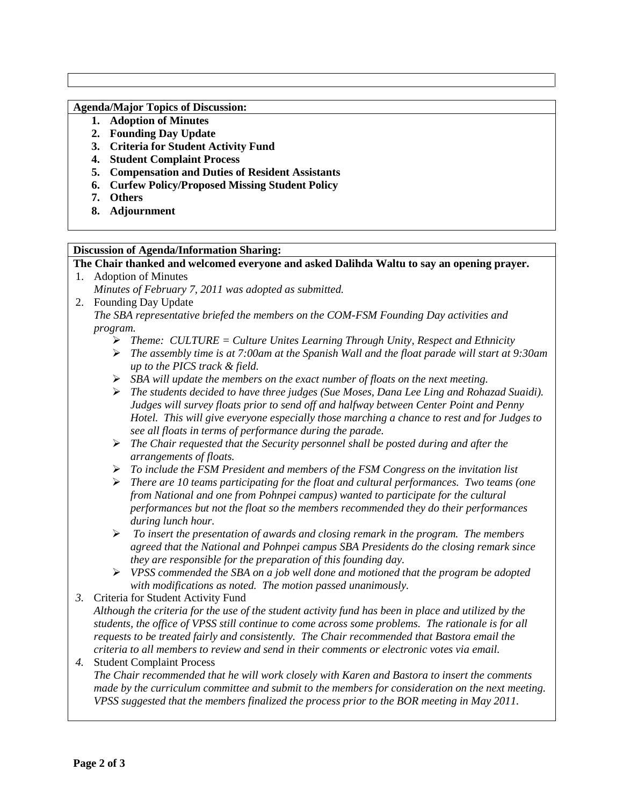### **Agenda/Major Topics of Discussion:**

- **1. Adoption of Minutes**
- **2. Founding Day Update**
- **3. Criteria for Student Activity Fund**
- **4. Student Complaint Process**
- **5. Compensation and Duties of Resident Assistants**
- **6. Curfew Policy/Proposed Missing Student Policy**
- **7. Others**
- **8. Adjournment**

### **Discussion of Agenda/Information Sharing:**

**The Chair thanked and welcomed everyone and asked Dalihda Waltu to say an opening prayer.** 1. Adoption of Minutes

- *Minutes of February 7, 2011 was adopted as submitted.*
- 2. Founding Day Update *The SBA representative briefed the members on the COM-FSM Founding Day activities and program.* 
	- *Theme: CULTURE = Culture Unites Learning Through Unity, Respect and Ethnicity*
	- *The assembly time is at 7:00am at the Spanish Wall and the float parade will start at 9:30am up to the PICS track & field.*
	- *SBA will update the members on the exact number of floats on the next meeting.*
	- *The students decided to have three judges (Sue Moses, Dana Lee Ling and Rohazad Suaidi). Judges will survey floats prior to send off and halfway between Center Point and Penny Hotel. This will give everyone especially those marching a chance to rest and for Judges to see all floats in terms of performance during the parade.*
	- *The Chair requested that the Security personnel shall be posted during and after the arrangements of floats.*
	- *To include the FSM President and members of the FSM Congress on the invitation list*
	- *There are 10 teams participating for the float and cultural performances. Two teams (one from National and one from Pohnpei campus) wanted to participate for the cultural performances but not the float so the members recommended they do their performances during lunch hour.*
	- *To insert the presentation of awards and closing remark in the program. The members agreed that the National and Pohnpei campus SBA Presidents do the closing remark since they are responsible for the preparation of this founding day.*
	- *VPSS commended the SBA on a job well done and motioned that the program be adopted with modifications as noted. The motion passed unanimously.*
- *3.* Criteria for Student Activity Fund
	- *Although the criteria for the use of the student activity fund has been in place and utilized by the students, the office of VPSS still continue to come across some problems. The rationale is for all requests to be treated fairly and consistently. The Chair recommended that Bastora email the criteria to all members to review and send in their comments or electronic votes via email.*

# *4.* Student Complaint Process

*The Chair recommended that he will work closely with Karen and Bastora to insert the comments made by the curriculum committee and submit to the members for consideration on the next meeting. VPSS suggested that the members finalized the process prior to the BOR meeting in May 2011.*